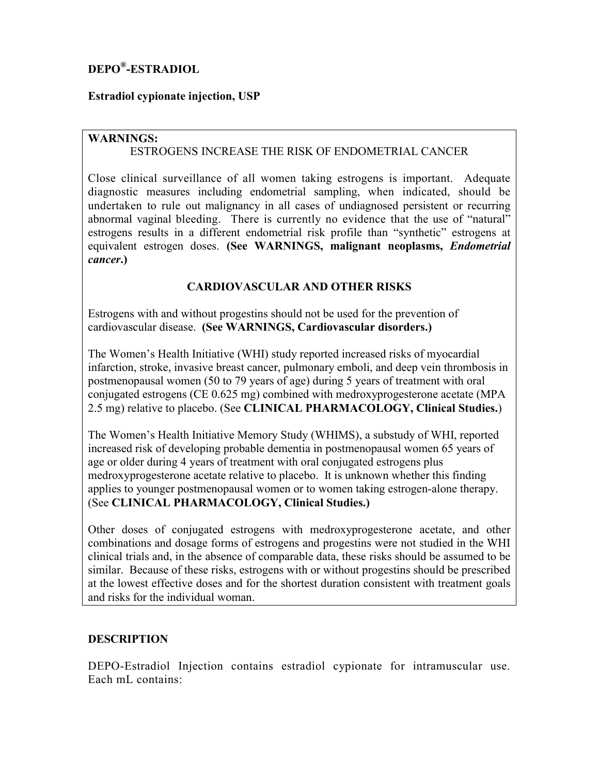# **DEPO® -ESTRADIOL**

# **Estradiol cypionate injection, USP**

## **WARNINGS:**

# ESTROGENS INCREASE THE RISK OF ENDOMETRIAL CANCER

Close clinical surveillance of all women taking estrogens is important. Adequate diagnostic measures including endometrial sampling, when indicated, should be undertaken to rule out malignancy in all cases of undiagnosed persistent or recurring abnormal vaginal bleeding. There is currently no evidence that the use of "natural" estrogens results in a different endometrial risk profile than "synthetic" estrogens at equivalent estrogen doses. **(See WARNINGS, malignant neoplasms,** *Endometrial cancer***.)**

# **CARDIOVASCULAR AND OTHER RISKS**

Estrogens with and without progestins should not be used for the prevention of cardiovascular disease. **(See WARNINGS, Cardiovascular disorders.)**

The Women's Health Initiative (WHI) study reported increased risks of myocardial infarction, stroke, invasive breast cancer, pulmonary emboli, and deep vein thrombosis in postmenopausal women (50 to 79 years of age) during 5 years of treatment with oral conjugated estrogens (CE 0.625 mg) combined with medroxyprogesterone acetate (MPA 2.5 mg) relative to placebo. (See **CLINICAL PHARMACOLOGY, Clinical Studies.**)

The Women's Health Initiative Memory Study (WHIMS), a substudy of WHI, reported increased risk of developing probable dementia in postmenopausal women 65 years of age or older during 4 years of treatment with oral conjugated estrogens plus medroxyprogesterone acetate relative to placebo. It is unknown whether this finding applies to younger postmenopausal women or to women taking estrogen-alone therapy. (See **CLINICAL PHARMACOLOGY, Clinical Studies.)**

Other doses of conjugated estrogens with medroxyprogesterone acetate, and other combinations and dosage forms of estrogens and progestins were not studied in the WHI clinical trials and, in the absence of comparable data, these risks should be assumed to be similar. Because of these risks, estrogens with or without progestins should be prescribed at the lowest effective doses and for the shortest duration consistent with treatment goals and risks for the individual woman.

## **DESCRIPTION**

DEPO-Estradiol Injection contains estradiol cypionate for intramuscular use. Each mL contains: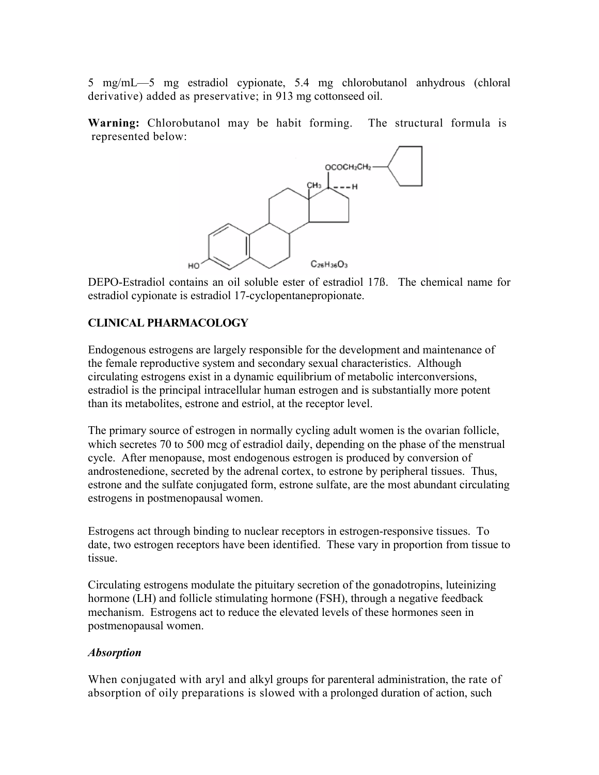5 mg/mL—5 mg estradiol cypionate, 5.4 mg chlorobutanol anhydrous (chloral derivative) added as preservative; in 913 mg cottonseed oil.

**Warning:** Chlorobutanol may be habit forming. The structural formula is represented below:



DEPO-Estradiol contains an oil soluble ester of estradiol 17ß. The chemical name for estradiol cypionate is estradiol 17-cyclopentanepropionate.

# **CLINICAL PHARMACOLOGY**

Endogenous estrogens are largely responsible for the development and maintenance of the female reproductive system and secondary sexual characteristics. Although circulating estrogens exist in a dynamic equilibrium of metabolic interconversions, estradiol is the principal intracellular human estrogen and is substantially more potent than its metabolites, estrone and estriol, at the receptor level.

The primary source of estrogen in normally cycling adult women is the ovarian follicle, which secretes 70 to 500 mcg of estradiol daily, depending on the phase of the menstrual cycle. After menopause, most endogenous estrogen is produced by conversion of androstenedione, secreted by the adrenal cortex, to estrone by peripheral tissues. Thus, estrone and the sulfate conjugated form, estrone sulfate, are the most abundant circulating estrogens in postmenopausal women.

Estrogens act through binding to nuclear receptors in estrogen-responsive tissues. To date, two estrogen receptors have been identified. These vary in proportion from tissue to tissue.

Circulating estrogens modulate the pituitary secretion of the gonadotropins, luteinizing hormone (LH) and follicle stimulating hormone (FSH), through a negative feedback mechanism. Estrogens act to reduce the elevated levels of these hormones seen in postmenopausal women.

#### *Absorption*

When conjugated with aryl and alkyl groups for parenteral administration, the rate of absorption of oily preparations is slowed with a prolonged duration of action, such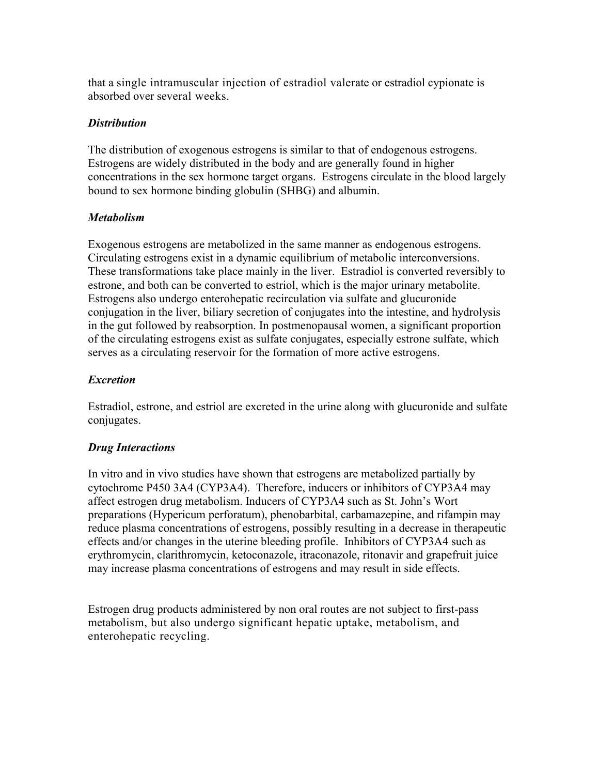that a single intramuscular injection of estradiol valerate or estradiol cypionate is absorbed over several weeks.

## *Distribution*

The distribution of exogenous estrogens is similar to that of endogenous estrogens. Estrogens are widely distributed in the body and are generally found in higher concentrations in the sex hormone target organs. Estrogens circulate in the blood largely bound to sex hormone binding globulin (SHBG) and albumin.

## *Metabolism*

Exogenous estrogens are metabolized in the same manner as endogenous estrogens. Circulating estrogens exist in a dynamic equilibrium of metabolic interconversions. These transformations take place mainly in the liver. Estradiol is converted reversibly to estrone, and both can be converted to estriol, which is the major urinary metabolite. Estrogens also undergo enterohepatic recirculation via sulfate and glucuronide conjugation in the liver, biliary secretion of conjugates into the intestine, and hydrolysis in the gut followed by reabsorption. In postmenopausal women, a significant proportion of the circulating estrogens exist as sulfate conjugates, especially estrone sulfate, which serves as a circulating reservoir for the formation of more active estrogens.

# *Excretion*

Estradiol, estrone, and estriol are excreted in the urine along with glucuronide and sulfate conjugates.

# *Drug Interactions*

In vitro and in vivo studies have shown that estrogens are metabolized partially by cytochrome P450 3A4 (CYP3A4). Therefore, inducers or inhibitors of CYP3A4 may affect estrogen drug metabolism. Inducers of CYP3A4 such as St. John's Wort preparations (Hypericum perforatum), phenobarbital, carbamazepine, and rifampin may reduce plasma concentrations of estrogens, possibly resulting in a decrease in therapeutic effects and/or changes in the uterine bleeding profile. Inhibitors of CYP3A4 such as erythromycin, clarithromycin, ketoconazole, itraconazole, ritonavir and grapefruit juice may increase plasma concentrations of estrogens and may result in side effects.

Estrogen drug products administered by non oral routes are not subject to first-pass metabolism, but also undergo significant hepatic uptake, metabolism, and enterohepatic recycling.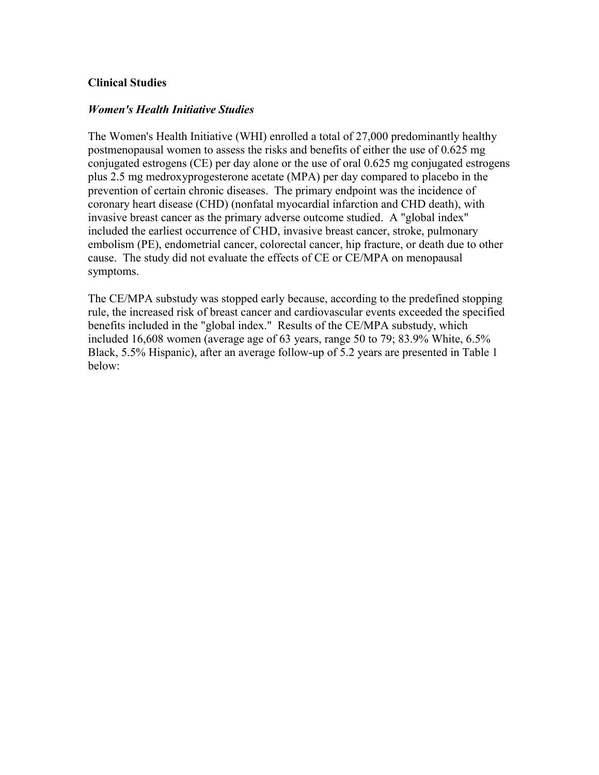### **Clinical Studies**

### *Women's Health Initiative Studies*

The Women's Health Initiative (WHI) enrolled a total of 27,000 predominantly healthy postmenopausal women to assess the risks and benefits of either the use of 0.625 mg conjugated estrogens (CE) per day alone or the use of oral 0.625 mg conjugated estrogens plus 2.5 mg medroxyprogesterone acetate (MPA) per day compared to placebo in the prevention of certain chronic diseases. The primary endpoint was the incidence of coronary heart disease (CHD) (nonfatal myocardial infarction and CHD death), with invasive breast cancer as the primary adverse outcome studied. A "global index" included the earliest occurrence of CHD, invasive breast cancer, stroke, pulmonary embolism (PE), endometrial cancer, colorectal cancer, hip fracture, or death due to other cause. The study did not evaluate the effects of CE or CE/MPA on menopausal symptoms.

The CE/MPA substudy was stopped early because, according to the predefined stopping rule, the increased risk of breast cancer and cardiovascular events exceeded the specified benefits included in the "global index." Results of the CE/MPA substudy, which included 16,608 women (average age of 63 years, range 50 to 79; 83.9% White, 6.5% Black, 5.5% Hispanic), after an average follow-up of 5.2 years are presented in Table 1 below: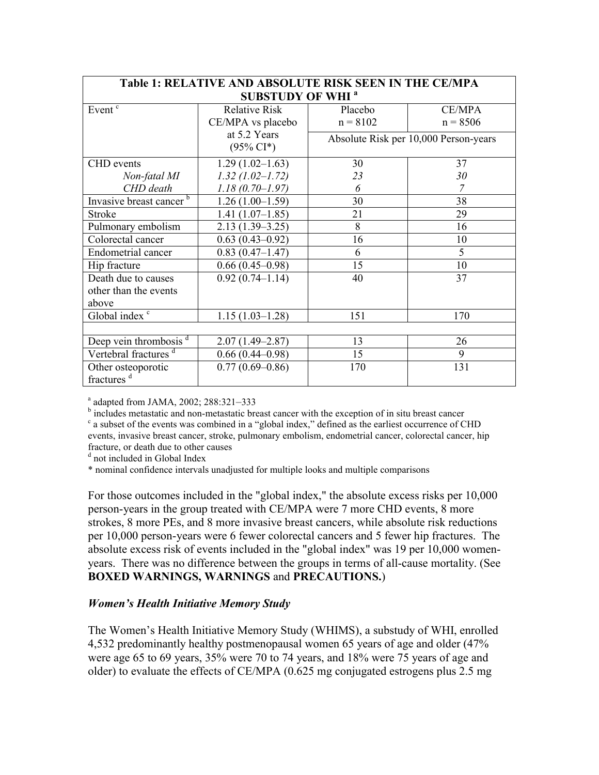| <b>Table 1: RELATIVE AND ABSOLUTE RISK SEEN IN THE CE/MPA</b> |                      |                                       |               |
|---------------------------------------------------------------|----------------------|---------------------------------------|---------------|
| <b>SUBSTUDY OF WHI<sup>a</sup></b>                            |                      |                                       |               |
| Event <sup>c</sup>                                            | <b>Relative Risk</b> | Placebo                               | <b>CE/MPA</b> |
|                                                               | CE/MPA vs placebo    | $n = 8102$                            | $n = 8506$    |
|                                                               | at 5.2 Years         | Absolute Risk per 10,000 Person-years |               |
|                                                               | $(95\% \text{ CI*})$ |                                       |               |
| <b>CHD</b> events                                             | $1.29(1.02 - 1.63)$  | 30                                    | 37            |
| Non-fatal MI                                                  | $1.32$ (1.02-1.72)   | 23                                    | 30            |
| CHD death                                                     | $1.18(0.70 - 1.97)$  | 6                                     |               |
| Invasive breast cancer <sup>b</sup>                           | $1.26(1.00-1.59)$    | 30                                    | 38            |
| Stroke                                                        | $1.41(1.07-1.85)$    | 21                                    | 29            |
| Pulmonary embolism                                            | $2.13(1.39 - 3.25)$  | 8                                     | 16            |
| Colorectal cancer                                             | $0.63(0.43 - 0.92)$  | 16                                    | 10            |
| <b>Endometrial cancer</b>                                     | $0.83(0.47-1.47)$    | 6                                     | 5             |
| Hip fracture                                                  | $0.66(0.45-0.98)$    | 15                                    | 10            |
| Death due to causes                                           | $0.92(0.74 - 1.14)$  | 40                                    | 37            |
| other than the events                                         |                      |                                       |               |
| above                                                         |                      |                                       |               |
| Global index $\frac{c}{ }$                                    | $1.15(1.03-1.28)$    | 151                                   | 170           |
|                                                               |                      |                                       |               |
| Deep vein thrombosis $d$                                      | $2.07(1.49 - 2.87)$  | 13                                    | 26            |
| Vertebral fractures <sup>d</sup>                              | $0.66(0.44 - 0.98)$  | 15                                    | 9             |
| Other osteoporotic                                            | $0.77(0.69 - 0.86)$  | 170                                   | 131           |
| fractures <sup>d</sup>                                        |                      |                                       |               |

a adapted from JAMA, 2002; 288:321-333

<sup>b</sup> includes metastatic and non-metastatic breast cancer with the exception of in situ breast cancer <sup>c</sup> a subset of the events was combined in a "global index," defined as the earliest occurrence of CHD events, invasive breast cancer, stroke, pulmonary embolism, endometrial cancer, colorectal cancer, hip fracture, or death due to other causes

<sup>d</sup> not included in Global Index

\* nominal confidence intervals unadjusted for multiple looks and multiple comparisons

For those outcomes included in the "global index," the absolute excess risks per 10,000 person-years in the group treated with CE/MPA were 7 more CHD events, 8 more strokes, 8 more PEs, and 8 more invasive breast cancers, while absolute risk reductions per 10,000 person-years were 6 fewer colorectal cancers and 5 fewer hip fractures. The absolute excess risk of events included in the "global index" was 19 per 10,000 womenyears. There was no difference between the groups in terms of all-cause mortality. (See **BOXED WARNINGS, WARNINGS** and **PRECAUTIONS.**)

#### *Women's Health Initiative Memory Study*

The Women's Health Initiative Memory Study (WHIMS), a substudy of WHI, enrolled 4,532 predominantly healthy postmenopausal women 65 years of age and older (47% were age 65 to 69 years, 35% were 70 to 74 years, and 18% were 75 years of age and older) to evaluate the effects of CE/MPA (0.625 mg conjugated estrogens plus 2.5 mg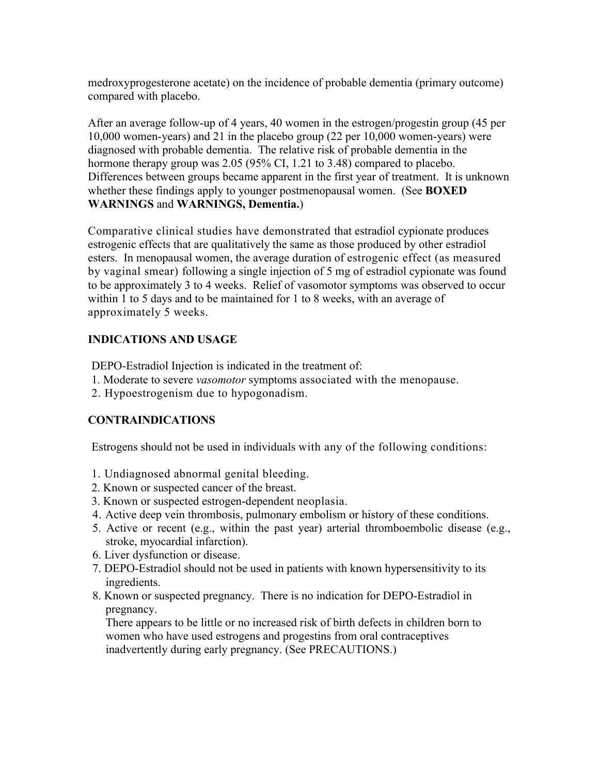medroxyprogesterone acetate) on the incidence of probable dementia (primary outcome) compared with placebo.

After an average follow-up of 4 years, 40 women in the estrogen/progestin group (45 per 10,000 women-years) and 21 in the placebo group (22 per 10,000 women-years) were diagnosed with probable dementia. The relative risk of probable dementia in the hormone therapy group was 2.05 (95% CI, 1.21 to 3.48) compared to placebo. Differences between groups became apparent in the first year of treatment. It is unknown whether these findings apply to younger postmenopausal women. (See **BOXED WARNINGS** and **WARNINGS, Dementia.**)

Comparative clinical studies have demonstrated that estradiol cypionate produces estrogenic effects that are qualitatively the same as those produced by other estradiol esters. In menopausal women, the average duration of estrogenic effect (as measured by vaginal smear) following a single injection of 5 mg of estradiol cypionate was found to be approximately 3 to 4 weeks. Relief of vasomotor symptoms was observed to occur within 1 to 5 days and to be maintained for 1 to 8 weeks, with an average of approximately 5 weeks.

## **INDICATIONS AND USAGE**

DEPO-Estradiol Injection is indicated in the treatment of:

- 1. Moderate to severe *vasomotor* symptoms associated with the menopause.
- 2. Hypoestrogenism due to hypogonadism.

## **CONTRAINDICATIONS**

Estrogens should not be used in individuals with any of the following conditions:

- 1. Undiagnosed abnormal genital bleeding.
- 2. Known or suspected cancer of the breast.
- 3. Known or suspected estrogen-dependent neoplasia.
- 4. Active deep vein thrombosis, pulmonary embolism or history of these conditions.
- 5. Active or recent (e.g., within the past year) arterial thromboembolic disease (e.g., stroke, myocardial infarction).
- 6. Liver dysfunction or disease.
- 7. DEPO-Estradiol should not be used in patients with known hypersensitivity to its ingredients.
- 8. Known or suspected pregnancy. There is no indication for DEPO-Estradiol in pregnancy.

There appears to be little or no increased risk of birth defects in children born to women who have used estrogens and progestins from oral contraceptives inadvertently during early pregnancy. (See PRECAUTIONS.)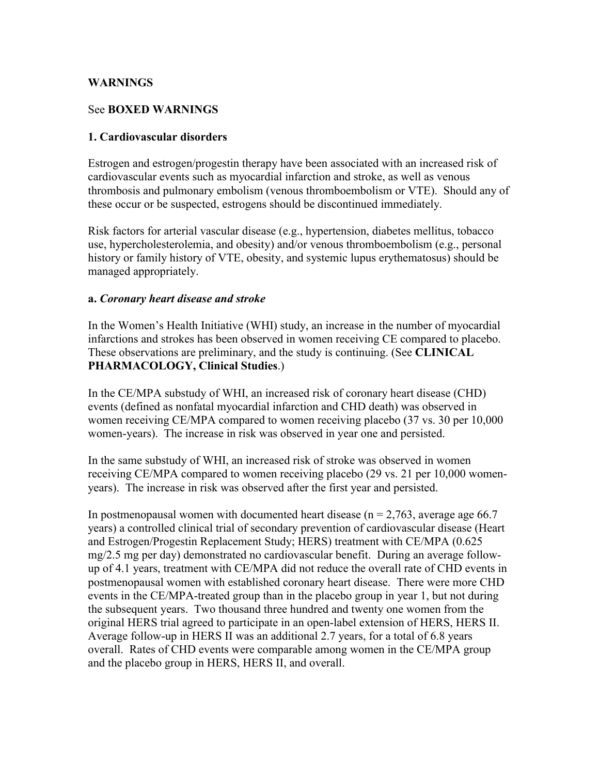### **WARNINGS**

### See **BOXED WARNINGS**

### **1. Cardiovascular disorders**

Estrogen and estrogen/progestin therapy have been associated with an increased risk of cardiovascular events such as myocardial infarction and stroke, as well as venous thrombosis and pulmonary embolism (venous thromboembolism or VTE). Should any of these occur or be suspected, estrogens should be discontinued immediately.

Risk factors for arterial vascular disease (e.g., hypertension, diabetes mellitus, tobacco use, hypercholesterolemia, and obesity) and/or venous thromboembolism (e.g., personal history or family history of VTE, obesity, and systemic lupus erythematosus) should be managed appropriately.

#### **a.** *Coronary heart disease and stroke*

In the Women's Health Initiative (WHI) study, an increase in the number of myocardial infarctions and strokes has been observed in women receiving CE compared to placebo. These observations are preliminary, and the study is continuing. (See **CLINICAL PHARMACOLOGY, Clinical Studies**.)

In the CE/MPA substudy of WHI, an increased risk of coronary heart disease (CHD) events (defined as nonfatal myocardial infarction and CHD death) was observed in women receiving CE/MPA compared to women receiving placebo (37 vs. 30 per 10,000 women-years). The increase in risk was observed in year one and persisted.

In the same substudy of WHI, an increased risk of stroke was observed in women receiving CE/MPA compared to women receiving placebo (29 vs. 21 per 10,000 womenyears). The increase in risk was observed after the first year and persisted.

In postmenopausal women with documented heart disease ( $n = 2.763$ , average age 66.7 years) a controlled clinical trial of secondary prevention of cardiovascular disease (Heart and Estrogen/Progestin Replacement Study; HERS) treatment with CE/MPA (0.625 mg/2.5 mg per day) demonstrated no cardiovascular benefit. During an average followup of 4.1 years, treatment with CE/MPA did not reduce the overall rate of CHD events in postmenopausal women with established coronary heart disease. There were more CHD events in the CE/MPA-treated group than in the placebo group in year 1, but not during the subsequent years. Two thousand three hundred and twenty one women from the original HERS trial agreed to participate in an open-label extension of HERS, HERS II. Average follow-up in HERS II was an additional 2.7 years, for a total of 6.8 years overall. Rates of CHD events were comparable among women in the CE/MPA group and the placebo group in HERS, HERS II, and overall.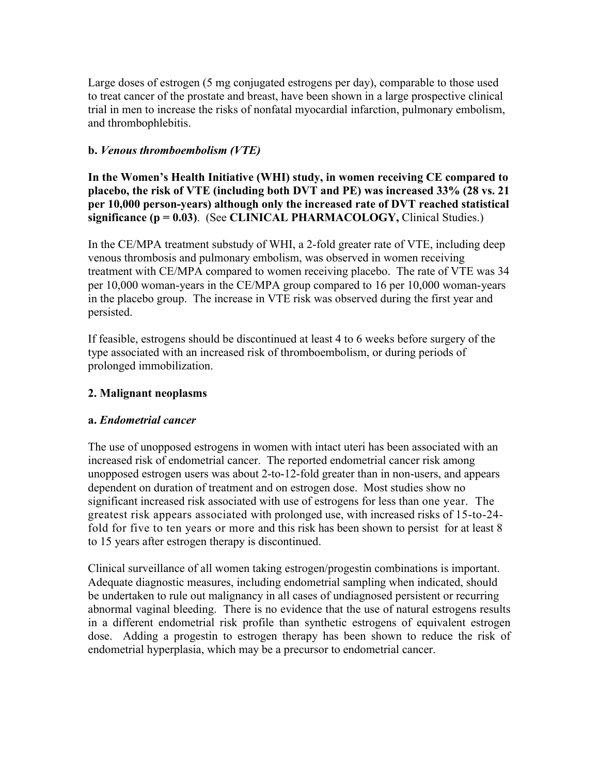Large doses of estrogen (5 mg conjugated estrogens per day), comparable to those used to treat cancer of the prostate and breast, have been shown in a large prospective clinical trial in men to increase the risks of nonfatal myocardial infarction, pulmonary embolism, and thrombophlebitis.

## **b.** *Venous thromboembolism (VTE)*

**In the Women's Health Initiative (WHI) study, in women receiving CE compared to placebo, the risk of VTE (including both DVT and PE) was increased 33% (28 vs. 21 per 10,000 person-years) although only the increased rate of DVT reached statistical significance (p = 0.03)**. (See **CLINICAL PHARMACOLOGY,** Clinical Studies.)

In the CE/MPA treatment substudy of WHI, a 2-fold greater rate of VTE, including deep venous thrombosis and pulmonary embolism, was observed in women receiving treatment with CE/MPA compared to women receiving placebo. The rate of VTE was 34 per 10,000 woman-years in the CE/MPA group compared to 16 per 10,000 woman-years in the placebo group. The increase in VTE risk was observed during the first year and persisted.

If feasible, estrogens should be discontinued at least 4 to 6 weeks before surgery of the type associated with an increased risk of thromboembolism, or during periods of prolonged immobilization.

## **2. Malignant neoplasms**

## **a.** *Endometrial cancer*

The use of unopposed estrogens in women with intact uteri has been associated with an increased risk of endometrial cancer.The reported endometrial cancer risk among unopposed estrogen users was about 2-to-12-fold greater than in non-users, and appears dependent on duration of treatment and on estrogen dose. Most studies show no significant increased risk associated with use of estrogens for less than one year. The greatest risk appears associated with prolonged use, with increased risks of 15-to-24 fold for five to ten years or more and this risk has been shown to persist for at least 8 to 15 years after estrogen therapy is discontinued.

Clinical surveillance of all women taking estrogen/progestin combinations is important. Adequate diagnostic measures, including endometrial sampling when indicated, should be undertaken to rule out malignancy in all cases of undiagnosed persistent or recurring abnormal vaginal bleeding. There is no evidence that the use of natural estrogens results in a different endometrial risk profile than synthetic estrogens of equivalent estrogen dose. Adding a progestin to estrogen therapy has been shown to reduce the risk of endometrial hyperplasia, which may be a precursor to endometrial cancer.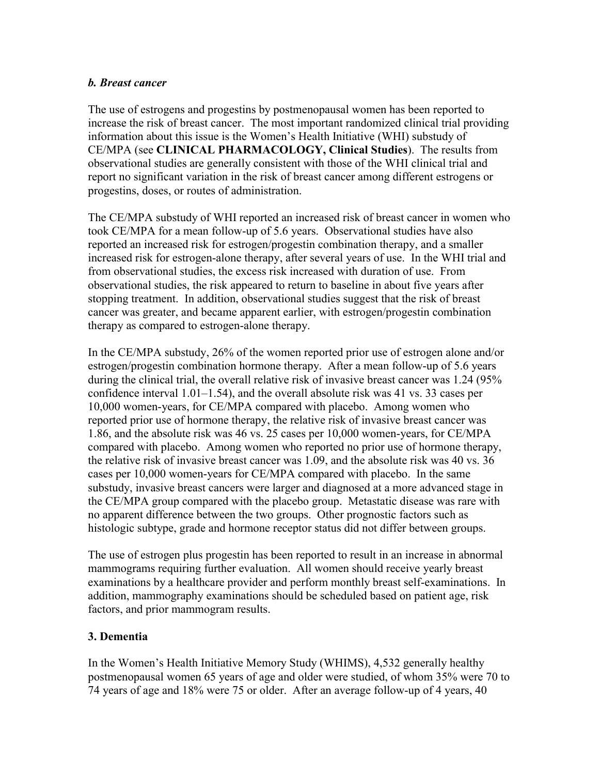## *b. Breast cancer*

The use of estrogens and progestins by postmenopausal women has been reported to increase the risk of breast cancer. The most important randomized clinical trial providing information about this issue is the Women's Health Initiative (WHI) substudy of CE/MPA (see **CLINICAL PHARMACOLOGY, Clinical Studies**). The results from observational studies are generally consistent with those of the WHI clinical trial and report no significant variation in the risk of breast cancer among different estrogens or progestins, doses, or routes of administration.

The CE/MPA substudy of WHI reported an increased risk of breast cancer in women who took CE/MPA for a mean follow-up of 5.6 years. Observational studies have also reported an increased risk for estrogen/progestin combination therapy, and a smaller increased risk for estrogen-alone therapy, after several years of use. In the WHI trial and from observational studies, the excess risk increased with duration of use. From observational studies, the risk appeared to return to baseline in about five years after stopping treatment. In addition, observational studies suggest that the risk of breast cancer was greater, and became apparent earlier, with estrogen/progestin combination therapy as compared to estrogen-alone therapy.

In the CE/MPA substudy, 26% of the women reported prior use of estrogen alone and/or estrogen/progestin combination hormone therapy. After a mean follow-up of 5.6 years during the clinical trial, the overall relative risk of invasive breast cancer was 1.24 (95% confidence interval 1.01–1.54), and the overall absolute risk was 41 vs. 33 cases per 10,000 women-years, for CE/MPA compared with placebo. Among women who reported prior use of hormone therapy, the relative risk of invasive breast cancer was 1.86, and the absolute risk was 46 vs. 25 cases per 10,000 women-years, for CE/MPA compared with placebo. Among women who reported no prior use of hormone therapy, the relative risk of invasive breast cancer was 1.09, and the absolute risk was 40 vs. 36 cases per 10,000 women-years for CE/MPA compared with placebo. In the same substudy, invasive breast cancers were larger and diagnosed at a more advanced stage in the CE/MPA group compared with the placebo group. Metastatic disease was rare with no apparent difference between the two groups. Other prognostic factors such as histologic subtype, grade and hormone receptor status did not differ between groups.

The use of estrogen plus progestin has been reported to result in an increase in abnormal mammograms requiring further evaluation. All women should receive yearly breast examinations by a healthcare provider and perform monthly breast self-examinations. In addition, mammography examinations should be scheduled based on patient age, risk factors, and prior mammogram results.

## **3. Dementia**

In the Women's Health Initiative Memory Study (WHIMS), 4,532 generally healthy postmenopausal women 65 years of age and older were studied, of whom 35% were 70 to 74 years of age and 18% were 75 or older. After an average follow-up of 4 years, 40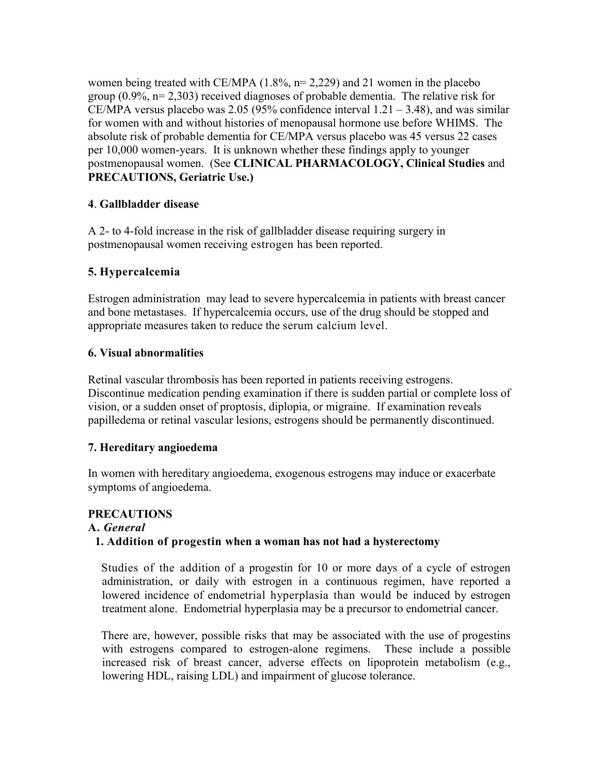women being treated with CE/MPA  $(1.8\%, n=2.229)$  and 21 women in the placebo group  $(0.9\%$ , n= 2,303) received diagnoses of probable dementia. The relative risk for CE/MPA versus placebo was 2.05 (95% confidence interval  $1.21 - 3.48$ ), and was similar for women with and without histories of menopausal hormone use before WHIMS. The absolute risk of probable dementia for CE/MPA versus placebo was 45 versus 22 cases per 10,000 women-years. It is unknown whether these findings apply to younger postmenopausal women. (See **CLINICAL PHARMACOLOGY, Clinical Studies** and **PRECAUTIONS, Geriatric Use.)**

## **4**. **Gallbladder disease**

A 2- to 4-fold increase in the risk of gallbladder disease requiring surgery in postmenopausal women receiving estrogen has been reported.

# **5. Hypercalcemia**

Estrogen administration may lead to severe hypercalcemia in patients with breast cancer and bone metastases. If hypercalcemia occurs, use of the drug should be stopped and appropriate measures taken to reduce the serum calcium level.

# **6. Visual abnormalities**

Retinal vascular thrombosis has been reported in patients receiving estrogens. Discontinue medication pending examination if there is sudden partial or complete loss of vision, or a sudden onset of proptosis, diplopia, or migraine. If examination reveals papilledema or retinal vascular lesions, estrogens should be permanently discontinued.

## **7. Hereditary angioedema**

In women with hereditary angioedema, exogenous estrogens may induce or exacerbate symptoms of angioedema.

# **PRECAUTIONS**

## **A.** *General*

## **1. Addition of progestin when a woman has not had a hysterectomy**

Studies of the addition of a progestin for 10 or more days of a cycle of estrogen administration, or daily with estrogen in a continuous regimen, have reported a lowered incidence of endometrial hyperplasia than would be induced by estrogen treatment alone. Endometrial hyperplasia may be a precursor to endometrial cancer.

There are, however, possible risks that may be associated with the use of progestins with estrogens compared to estrogen-alone regimens. These include a possible increased risk of breast cancer, adverse effects on lipoprotein metabolism (e.g., lowering HDL, raising LDL) and impairment of glucose tolerance.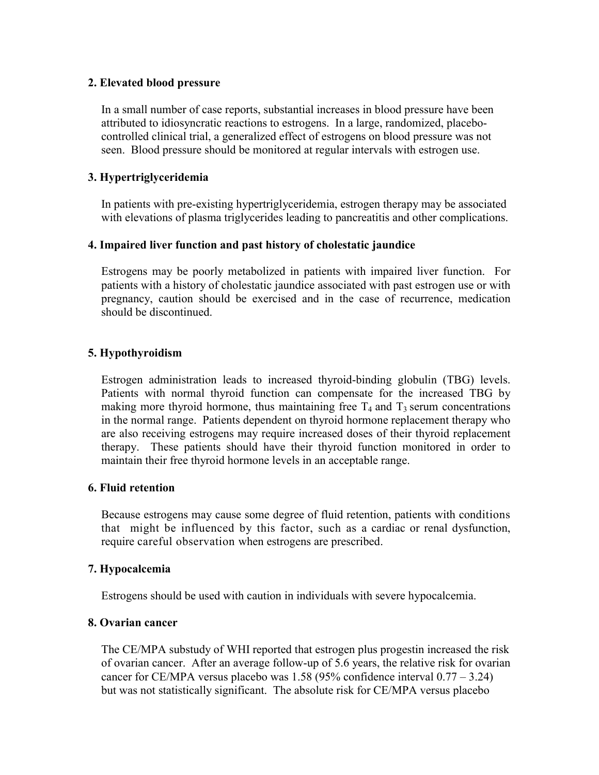### **2. Elevated blood pressure**

In a small number of case reports, substantial increases in blood pressure have been attributed to idiosyncratic reactions to estrogens. In a large, randomized, placebocontrolled clinical trial, a generalized effect of estrogens on blood pressure was not seen. Blood pressure should be monitored at regular intervals with estrogen use.

### **3. Hypertriglyceridemia**

In patients with pre-existing hypertriglyceridemia, estrogen therapy may be associated with elevations of plasma triglycerides leading to pancreatitis and other complications.

## **4. Impaired liver function and past history of cholestatic jaundice**

Estrogens may be poorly metabolized in patients with impaired liver function. For patients with a history of cholestatic jaundice associated with past estrogen use or with pregnancy, caution should be exercised and in the case of recurrence, medication should be discontinued.

## **5. Hypothyroidism**

Estrogen administration leads to increased thyroid-binding globulin (TBG) levels. Patients with normal thyroid function can compensate for the increased TBG by making more thyroid hormone, thus maintaining free  $T_4$  and  $T_3$  serum concentrations in the normal range. Patients dependent on thyroid hormone replacement therapy who are also receiving estrogens may require increased doses of their thyroid replacement therapy. These patients should have their thyroid function monitored in order to maintain their free thyroid hormone levels in an acceptable range.

#### **6. Fluid retention**

Because estrogens may cause some degree of fluid retention, patients with conditions that might be influenced by this factor, such as a cardiac or renal dysfunction, require careful observation when estrogens are prescribed.

#### **7. Hypocalcemia**

Estrogens should be used with caution in individuals with severe hypocalcemia.

#### **8. Ovarian cancer**

The CE/MPA substudy of WHI reported that estrogen plus progestin increased the risk of ovarian cancer. After an average follow-up of 5.6 years, the relative risk for ovarian cancer for CE/MPA versus placebo was 1.58 (95% confidence interval  $0.77 - 3.24$ ) but was not statistically significant. The absolute risk for CE/MPA versus placebo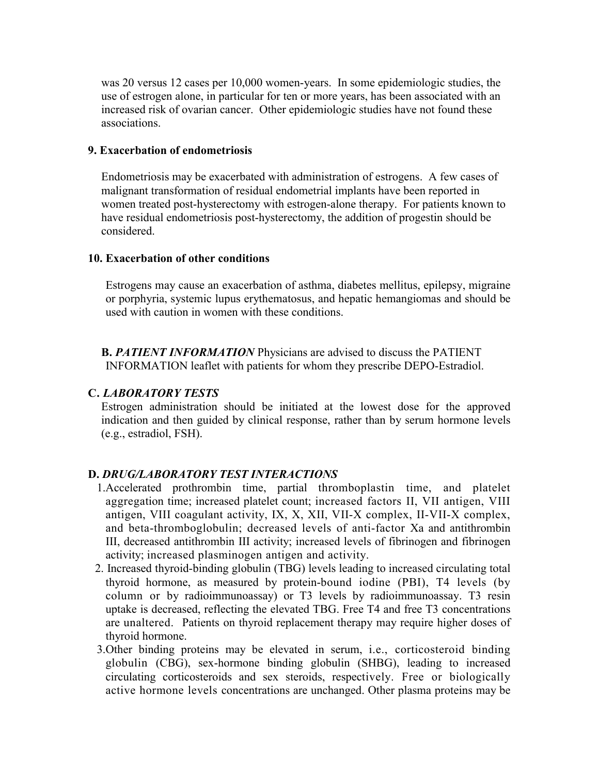was 20 versus 12 cases per 10,000 women-years. In some epidemiologic studies, the use of estrogen alone, in particular for ten or more years, has been associated with an increased risk of ovarian cancer. Other epidemiologic studies have not found these associations.

### **9. Exacerbation of endometriosis**

Endometriosis may be exacerbated with administration of estrogens. A few cases of malignant transformation of residual endometrial implants have been reported in women treated post-hysterectomy with estrogen-alone therapy. For patients known to have residual endometriosis post-hysterectomy, the addition of progestin should be considered.

### **10. Exacerbation of other conditions**

Estrogens may cause an exacerbation of asthma, diabetes mellitus, epilepsy, migraine or porphyria, systemic lupus erythematosus, and hepatic hemangiomas and should be used with caution in women with these conditions.

**B.** *PATIENT INFORMATION* Physicians are advised to discuss the PATIENT INFORMATION leaflet with patients for whom they prescribe DEPO-Estradiol.

## **C.** *LABORATORY TESTS*

Estrogen administration should be initiated at the lowest dose for the approved indication and then guided by clinical response, rather than by serum hormone levels (e.g., estradiol, FSH).

## **D.** *DRUG/LABORATORY TEST INTERACTIONS*

- 1.Accelerated prothrombin time, partial thromboplastin time, and platelet aggregation time; increased platelet count; increased factors II, VII antigen, VIII antigen, VIII coagulant activity, IX, X, XII, VII-X complex, II-VII-X complex, and beta-thromboglobulin; decreased levels of anti-factor Xa and antithrombin III, decreased antithrombin III activity; increased levels of fibrinogen and fibrinogen activity; increased plasminogen antigen and activity.
- 2. Increased thyroid-binding globulin (TBG) levels leading to increased circulating total thyroid hormone, as measured by protein-bound iodine (PBI), T4 levels (by column or by radioimmunoassay) or T3 levels by radioimmunoassay. T3 resin uptake is decreased, reflecting the elevated TBG. Free T4 and free T3 concentrations are unaltered. Patients on thyroid replacement therapy may require higher doses of thyroid hormone.
- 3.Other binding proteins may be elevated in serum, i.e., corticosteroid binding globulin (CBG), sex-hormone binding globulin (SHBG), leading to increased circulating corticosteroids and sex steroids, respectively. Free or biologically active hormone levels concentrations are unchanged. Other plasma proteins may be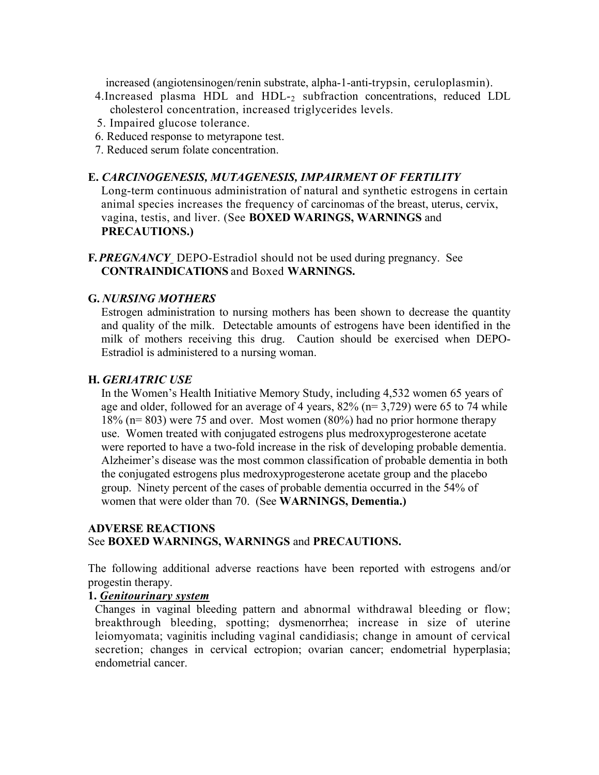increased (angiotensinogen/renin substrate, alpha-1-anti-trypsin, ceruloplasmin).

- 4.Increased plasma HDL and HDL-<sup>2</sup> subfraction concentrations, reduced LDL cholesterol concentration, increased triglycerides levels.
- 5. Impaired glucose tolerance.
- 6. Reduced response to metyrapone test.
- 7. Reduced serum folate concentration.

### **E.** *CARCINOGENESIS, MUTAGENESIS, IMPAIRMENT OF FERTILITY*

Long-term continuous administration of natural and synthetic estrogens in certain animal species increases the frequency of carcinomas of the breast, uterus, cervix, vagina, testis, and liver. (See **BOXED WARINGS, WARNINGS** and **PRECAUTIONS.)**

**F.***PREGNANCY* DEPO-Estradiol should not be used during pregnancy. See **CONTRAINDICATIONS** and Boxed **WARNINGS.**

### **G.** *NURSING MOTHERS*

Estrogen administration to nursing mothers has been shown to decrease the quantity and quality of the milk. Detectable amounts of estrogens have been identified in the milk of mothers receiving this drug. Caution should be exercised when DEPO-Estradiol is administered to a nursing woman.

### **H.** *GERIATRIC USE*

In the Women's Health Initiative Memory Study, including 4,532 women 65 years of age and older, followed for an average of 4 years, 82% (n= 3,729) were 65 to 74 while 18% (n= 803) were 75 and over. Most women (80%) had no prior hormone therapy use. Women treated with conjugated estrogens plus medroxyprogesterone acetate were reported to have a two-fold increase in the risk of developing probable dementia. Alzheimer's disease was the most common classification of probable dementia in both the conjugated estrogens plus medroxyprogesterone acetate group and the placebo group. Ninety percent of the cases of probable dementia occurred in the 54% of women that were older than 70. (See **WARNINGS, Dementia.)**

## **ADVERSE REACTIONS** See **BOXED WARNINGS, WARNINGS** and **PRECAUTIONS.**

The following additional adverse reactions have been reported with estrogens and/or progestin therapy.

#### **1.** *Genitourinary system*

Changes in vaginal bleeding pattern and abnormal withdrawal bleeding or flow; breakthrough bleeding, spotting; dysmenorrhea; increase in size of uterine leiomyomata; vaginitis including vaginal candidiasis; change in amount of cervical secretion; changes in cervical ectropion; ovarian cancer; endometrial hyperplasia; endometrial cancer.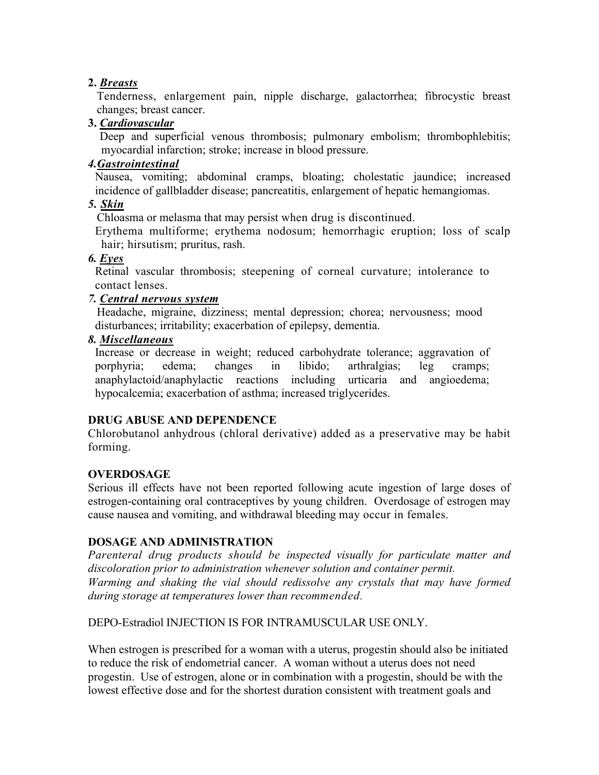## **2.** *Breasts*

Tenderness, enlargement pain, nipple discharge, galactorrhea; fibrocystic breast changes; breast cancer.

## **3.** *Cardiovascular*

Deep and superficial venous thrombosis; pulmonary embolism; thrombophlebitis; myocardial infarction; stroke; increase in blood pressure.

# *4.Gastrointestinal*

Nausea, vomiting; abdominal cramps, bloating; cholestatic jaundice; increased incidence of gallbladder disease; pancreatitis, enlargement of hepatic hemangiomas.

# *5. Skin*

Chloasma or melasma that may persist when drug is discontinued.

Erythema multiforme; erythema nodosum; hemorrhagic eruption; loss of scalp hair; hirsutism; pruritus, rash.

# *6. Eyes*

Retinal vascular thrombosis; steepening of corneal curvature; intolerance to contact lenses.

# *7. Central nervous system*

Headache, migraine, dizziness; mental depression; chorea; nervousness; mood disturbances; irritability; exacerbation of epilepsy, dementia.

# *8. Miscellaneous*

Increase or decrease in weight; reduced carbohydrate tolerance; aggravation of porphyria; edema; changes in libido; arthralgias; leg cramps; anaphylactoid/anaphylactic reactions including urticaria and angioedema; hypocalcemia; exacerbation of asthma; increased triglycerides.

# **DRUG ABUSE AND DEPENDENCE**

Chlorobutanol anhydrous (chloral derivative) added as a preservative may be habit forming.

# **OVERDOSAGE**

Serious ill effects have not been reported following acute ingestion of large doses of estrogen-containing oral contraceptives by young children. Overdosage of estrogen may cause nausea and vomiting, and withdrawal bleeding may occur in females.

## **DOSAGE AND ADMINISTRATION**

*Parenteral drug products should be inspected visually for particulate matter and discoloration prior to administration whenever solution and container permit. Warming and shaking the vial should redissolve any crystals that may have formed during storage at temperatures lower than recommended.*

## DEPO-Estradiol INJECTION IS FOR INTRAMUSCULAR USE ONLY.

When estrogen is prescribed for a woman with a uterus, progestin should also be initiated to reduce the risk of endometrial cancer. A woman without a uterus does not need progestin. Use of estrogen, alone or in combination with a progestin, should be with the lowest effective dose and for the shortest duration consistent with treatment goals and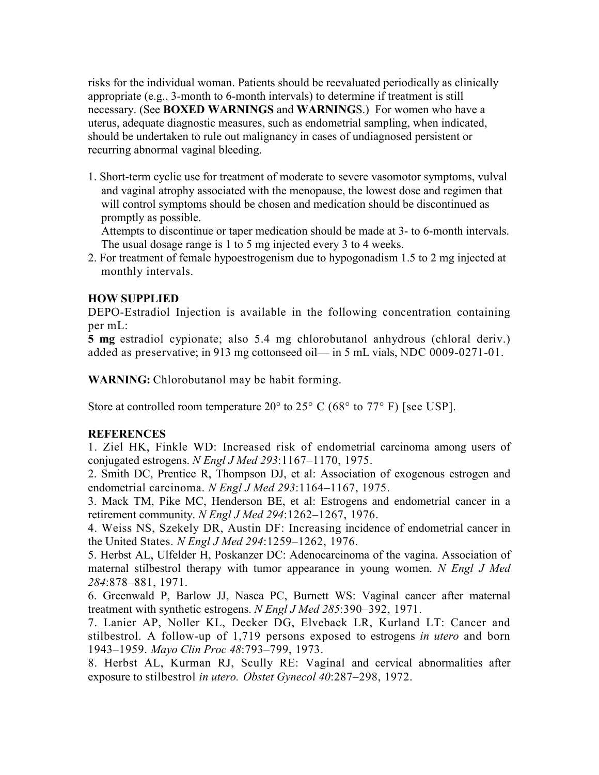risks for the individual woman. Patients should be reevaluated periodically as clinically appropriate (e.g., 3-month to 6-month intervals) to determine if treatment is still necessary. (See **BOXED WARNINGS** and **WARNING**S.) For women who have a uterus, adequate diagnostic measures, such as endometrial sampling, when indicated, should be undertaken to rule out malignancy in cases of undiagnosed persistent or recurring abnormal vaginal bleeding.

1. Short-term cyclic use for treatment of moderate to severe vasomotor symptoms, vulval and vaginal atrophy associated with the menopause, the lowest dose and regimen that will control symptoms should be chosen and medication should be discontinued as promptly as possible.

Attempts to discontinue or taper medication should be made at 3- to 6-month intervals. The usual dosage range is 1 to 5 mg injected every 3 to 4 weeks.

2. For treatment of female hypoestrogenism due to hypogonadism 1.5 to 2 mg injected at monthly intervals.

## **HOW SUPPLIED**

DEPO-Estradiol Injection is available in the following concentration containing per mL:

**5 mg** estradiol cypionate; also 5.4 mg chlorobutanol anhydrous (chloral deriv.) added as preservative; in 913 mg cottonseed oil— in 5 mL vials, NDC 0009-0271-01.

**WARNING:** Chlorobutanol may be habit forming.

Store at controlled room temperature  $20^{\circ}$  to  $25^{\circ}$  C (68 $^{\circ}$  to  $77^{\circ}$  F) [see USP].

#### **REFERENCES**

1. Ziel HK, Finkle WD: Increased risk of endometrial carcinoma among users of conjugated estrogens. *N Engl J Med 293*:1167–1170, 1975.

2. Smith DC, Prentice R, Thompson DJ, et al: Association of exogenous estrogen and endometrial carcinoma. *N Engl J Med 293*:1164–1167, 1975.

3. Mack TM, Pike MC, Henderson BE, et al: Estrogens and endometrial cancer in a retirement community. *N Engl J Med 294*:1262–1267, 1976.

4. Weiss NS, Szekely DR, Austin DF: Increasing incidence of endometrial cancer in the United States. *N Engl J Med 294*:1259–1262, 1976.

5. Herbst AL, Ulfelder H, Poskanzer DC: Adenocarcinoma of the vagina. Association of maternal stilbestrol therapy with tumor appearance in young women. *N Engl J Med 284*:878–881, 1971.

6. Greenwald P, Barlow JJ, Nasca PC, Burnett WS: Vaginal cancer after maternal treatment with synthetic estrogens. *N Engl J Med 285*:390–392, 1971.

7. Lanier AP, Noller KL, Decker DG, Elveback LR, Kurland LT: Cancer and stilbestrol. A follow-up of 1,719 persons exposed to estrogens *in utero* and born 1943–1959. *Mayo Clin Proc 48*:793–799, 1973.

8. Herbst AL, Kurman RJ, Scully RE: Vaginal and cervical abnormalities after exposure to stilbestrol *in utero. Obstet Gynecol 40*:287–298, 1972.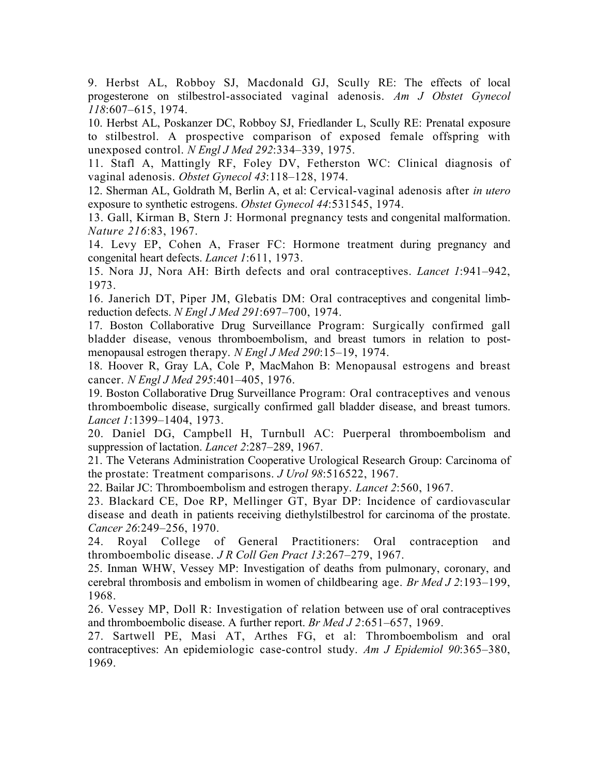9. Herbst AL, Robboy SJ, Macdonald GJ, Scully RE: The effects of local progesterone on stilbestrol-associated vaginal adenosis. *Am J Obstet Gynecol 118*:607–615, 1974.

10. Herbst AL, Poskanzer DC, Robboy SJ, Friedlander L, Scully RE: Prenatal exposure to stilbestrol. A prospective comparison of exposed female offspring with unexposed control. *N Engl J Med 292*:334–339, 1975.

11. Stafl A, Mattingly RF, Foley DV, Fetherston WC: Clinical diagnosis of vaginal adenosis. *Obstet Gynecol 43*:118–128, 1974.

12. Sherman AL, Goldrath M, Berlin A, et al: Cervical-vaginal adenosis after *in utero*  exposure to synthetic estrogens. *Obstet Gynecol 44*:531545, 1974.

13. Gall, Kirman B, Stern J: Hormonal pregnancy tests and congenital malformation. *Nature 216*:83, 1967.

14. Levy EP, Cohen A, Fraser FC: Hormone treatment during pregnancy and congenital heart defects. *Lancet 1*:611, 1973.

15. Nora JJ, Nora AH: Birth defects and oral contraceptives. *Lancet 1*:941–942, 1973.

16. Janerich DT, Piper JM, Glebatis DM: Oral contraceptives and congenital limbreduction defects. *N Engl J Med 291*:697–700, 1974.

17. Boston Collaborative Drug Surveillance Program: Surgically confirmed gall bladder disease, venous thromboembolism, and breast tumors in relation to postmenopausal estrogen therapy. *N Engl J Med 290*:15–19, 1974.

18. Hoover R, Gray LA, Cole P, MacMahon B: Menopausal estrogens and breast cancer. *N Engl J Med 295*:401–405, 1976.

19. Boston Collaborative Drug Surveillance Program: Oral contraceptives and venous thromboembolic disease, surgically confirmed gall bladder disease, and breast tumors. *Lancet 1*:1399–1404, 1973.

20. Daniel DG, Campbell H, Turnbull AC: Puerperal thromboembolism and suppression of lactation. *Lancet 2*:287–289, 1967.

21. The Veterans Administration Cooperative Urological Research Group: Carcinoma of the prostate: Treatment comparisons. *J Urol 98*:516522, 1967.

22. Bailar JC: Thromboembolism and estrogen therapy. *Lancet 2*:560, 1967.

23. Blackard CE, Doe RP, Mellinger GT, Byar DP: Incidence of cardiovascular disease and death in patients receiving diethylstilbestrol for carcinoma of the prostate. *Cancer 26*:249–256, 1970.

24. Royal College of General Practitioners: Oral contraception and thromboembolic disease. *J R Coll Gen Pract 13*:267–279, 1967.

25. Inman WHW, Vessey MP: Investigation of deaths from pulmonary, coronary, and cerebral thrombosis and embolism in women of childbearing age. *Br Med J 2*:193–199, 1968.

26. Vessey MP, Doll R: Investigation of relation between use of oral contraceptives and thromboembolic disease. A further report. *Br Med J 2*:651–657, 1969.

27. Sartwell PE, Masi AT, Arthes FG, et al: Thromboembolism and oral contraceptives: An epidemiologic case-control study. *Am J Epidemiol 90*:365–380, 1969.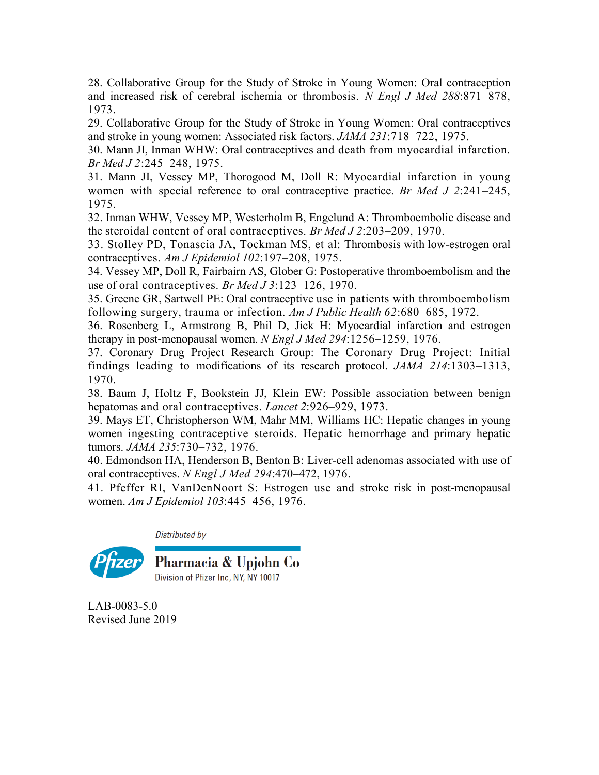28. Collaborative Group for the Study of Stroke in Young Women: Oral contraception and increased risk of cerebral ischemia or thrombosis. *N Engl J Med 288*:871–878, 1973.

29. Collaborative Group for the Study of Stroke in Young Women: Oral contraceptives and stroke in young women: Associated risk factors. *JAMA 231*:718–722, 1975.

30. Mann JI, Inman WHW: Oral contraceptives and death from myocardial infarction. *Br Med J 2*:245–248, 1975.

31. Mann JI, Vessey MP, Thorogood M, Doll R: Myocardial infarction in young women with special reference to oral contraceptive practice. *Br Med J 2*:241–245, 1975.

32. Inman WHW, Vessey MP, Westerholm B, Engelund A: Thromboembolic disease and the steroidal content of oral contraceptives. *Br Med J 2*:203–209, 1970.

33. Stolley PD, Tonascia JA, Tockman MS, et al: Thrombosis with low-estrogen oral contraceptives. *Am J Epidemiol 102*:197–208, 1975.

34. Vessey MP, Doll R, Fairbairn AS, Glober G: Postoperative thromboembolism and the use of oral contraceptives. *Br Med J 3*:123–126, 1970.

35. Greene GR, Sartwell PE: Oral contraceptive use in patients with thromboembolism following surgery, trauma or infection. *Am J Public Health 62*:680–685, 1972.

36. Rosenberg L, Armstrong B, Phil D, Jick H: Myocardial infarction and estrogen therapy in post-menopausal women. *N Engl J Med 294*:1256–1259, 1976.

37. Coronary Drug Project Research Group: The Coronary Drug Project: Initial findings leading to modifications of its research protocol. *JAMA 214*:1303–1313, 1970.

38. Baum J, Holtz F, Bookstein JJ, Klein EW: Possible association between benign hepatomas and oral contraceptives. *Lancet 2*:926–929, 1973.

39. Mays ET, Christopherson WM, Mahr MM, Williams HC: Hepatic changes in young women ingesting contraceptive steroids. Hepatic hemorrhage and primary hepatic tumors. *JAMA 235*:730–732, 1976.

40. Edmondson HA, Henderson B, Benton B: Liver-cell adenomas associated with use of oral contraceptives. *N Engl J Med 294*:470–472, 1976.

41. Pfeffer RI, VanDenNoort S: Estrogen use and stroke risk in post-menopausal women. *Am J Epidemiol 103*:445–456, 1976.

Distributed by



LAB-0083-5.0 Revised June 2019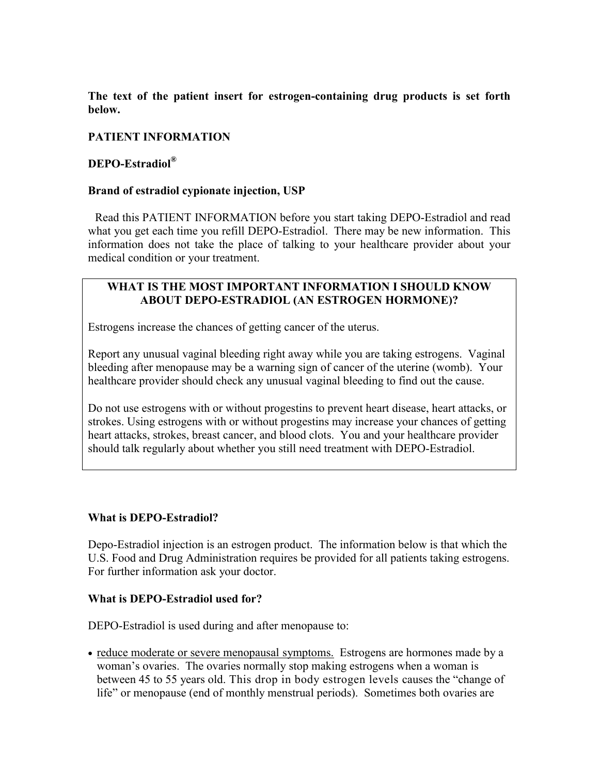**The text of the patient insert for estrogen-containing drug products is set forth below.**

## **PATIENT INFORMATION**

### **DEPO-Estradiol®**

#### **Brand of estradiol cypionate injection, USP**

Read this PATIENT INFORMATION before you start taking DEPO-Estradiol and read what you get each time you refill DEPO-Estradiol. There may be new information. This information does not take the place of talking to your healthcare provider about your medical condition or your treatment.

### **WHAT IS THE MOST IMPORTANT INFORMATION I SHOULD KNOW ABOUT DEPO-ESTRADIOL (AN ESTROGEN HORMONE)?**

Estrogens increase the chances of getting cancer of the uterus.

Report any unusual vaginal bleeding right away while you are taking estrogens. Vaginal bleeding after menopause may be a warning sign of cancer of the uterine (womb). Your healthcare provider should check any unusual vaginal bleeding to find out the cause.

Do not use estrogens with or without progestins to prevent heart disease, heart attacks, or strokes. Using estrogens with or without progestins may increase your chances of getting heart attacks, strokes, breast cancer, and blood clots. You and your healthcare provider should talk regularly about whether you still need treatment with DEPO-Estradiol.

#### **What is DEPO-Estradiol?**

Depo-Estradiol injection is an estrogen product. The information below is that which the U.S. Food and Drug Administration requires be provided for all patients taking estrogens. For further information ask your doctor.

#### **What is DEPO-Estradiol used for?**

DEPO-Estradiol is used during and after menopause to:

• reduce moderate or severe menopausal symptoms. Estrogens are hormones made by a woman's ovaries. The ovaries normally stop making estrogens when a woman is between 45 to 55 years old. This drop in body estrogen levels causes the "change of life" or menopause (end of monthly menstrual periods). Sometimes both ovaries are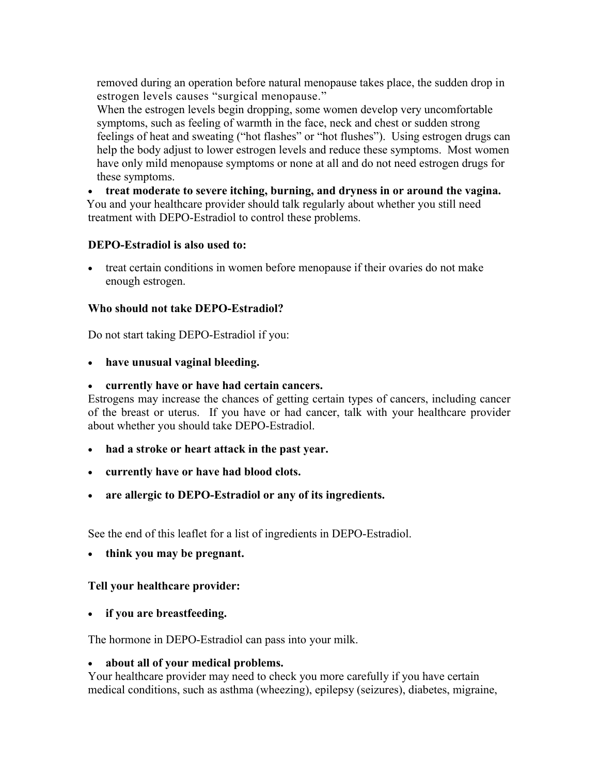removed during an operation before natural menopause takes place, the sudden drop in estrogen levels causes "surgical menopause."

When the estrogen levels begin dropping, some women develop very uncomfortable symptoms, such as feeling of warmth in the face, neck and chest or sudden strong feelings of heat and sweating ("hot flashes" or "hot flushes"). Using estrogen drugs can help the body adjust to lower estrogen levels and reduce these symptoms. Most women have only mild menopause symptoms or none at all and do not need estrogen drugs for these symptoms.

 **treat moderate to severe itching, burning, and dryness in or around the vagina.** You and your healthcare provider should talk regularly about whether you still need treatment with DEPO-Estradiol to control these problems.

### **DEPO-Estradiol is also used to:**

 treat certain conditions in women before menopause if their ovaries do not make enough estrogen.

### **Who should not take DEPO-Estradiol?**

Do not start taking DEPO-Estradiol if you:

**have unusual vaginal bleeding.**

### **currently have or have had certain cancers.**

Estrogens may increase the chances of getting certain types of cancers, including cancer of the breast or uterus. If you have or had cancer, talk with your healthcare provider about whether you should take DEPO-Estradiol.

- **had a stroke or heart attack in the past year.**
- **currently have or have had blood clots.**
- **are allergic to DEPO-Estradiol or any of its ingredients.**

See the end of this leaflet for a list of ingredients in DEPO-Estradiol.

**think you may be pregnant.**

## **Tell your healthcare provider:**

**if you are breastfeeding.**

The hormone in DEPO-Estradiol can pass into your milk.

#### **about all of your medical problems.**

Your healthcare provider may need to check you more carefully if you have certain medical conditions, such as asthma (wheezing), epilepsy (seizures), diabetes, migraine,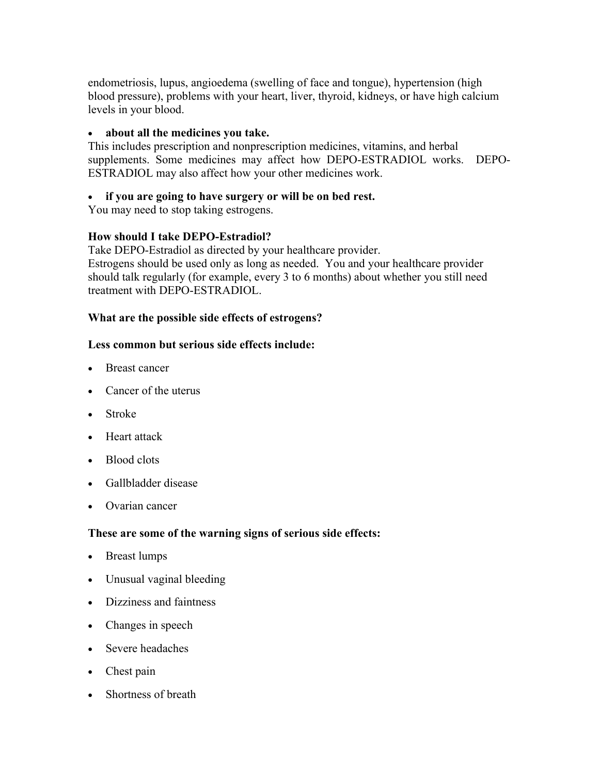endometriosis, lupus, angioedema (swelling of face and tongue), hypertension (high blood pressure), problems with your heart, liver, thyroid, kidneys, or have high calcium levels in your blood.

### **about all the medicines you take.**

This includes prescription and nonprescription medicines, vitamins, and herbal supplements. Some medicines may affect how DEPO-ESTRADIOL works. DEPO-ESTRADIOL may also affect how your other medicines work.

## **if you are going to have surgery or will be on bed rest.**

You may need to stop taking estrogens.

## **How should I take DEPO-Estradiol?**

Take DEPO-Estradiol as directed by your healthcare provider. Estrogens should be used only as long as needed. You and your healthcare provider should talk regularly (for example, every 3 to 6 months) about whether you still need treatment with DEPO-ESTRADIOL.

### **What are the possible side effects of estrogens?**

### **Less common but serious side effects include:**

- Breast cancer
- Cancer of the uterus
- Stroke
- Heart attack
- Blood clots
- Gallbladder disease
- Ovarian cancer

## **These are some of the warning signs of serious side effects:**

- Breast lumps
- Unusual vaginal bleeding
- Dizziness and faintness
- Changes in speech
- Severe headaches
- Chest pain
- Shortness of breath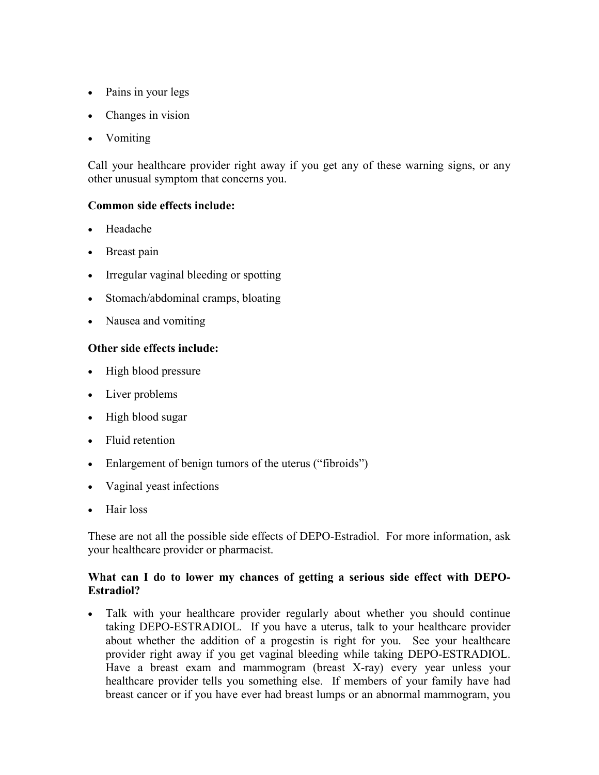- Pains in your legs
- Changes in vision
- Vomiting

Call your healthcare provider right away if you get any of these warning signs, or any other unusual symptom that concerns you.

## **Common side effects include:**

- Headache
- Breast pain
- Irregular vaginal bleeding or spotting
- Stomach/abdominal cramps, bloating
- Nausea and vomiting

## **Other side effects include:**

- High blood pressure
- Liver problems
- High blood sugar
- Fluid retention
- Enlargement of benign tumors of the uterus ("fibroids")
- Vaginal yeast infections
- Hair loss

These are not all the possible side effects of DEPO-Estradiol. For more information, ask your healthcare provider or pharmacist.

## **What can I do to lower my chances of getting a serious side effect with DEPO-Estradiol?**

 Talk with your healthcare provider regularly about whether you should continue taking DEPO-ESTRADIOL. If you have a uterus, talk to your healthcare provider about whether the addition of a progestin is right for you. See your healthcare provider right away if you get vaginal bleeding while taking DEPO-ESTRADIOL. Have a breast exam and mammogram (breast X-ray) every year unless your healthcare provider tells you something else. If members of your family have had breast cancer or if you have ever had breast lumps or an abnormal mammogram, you